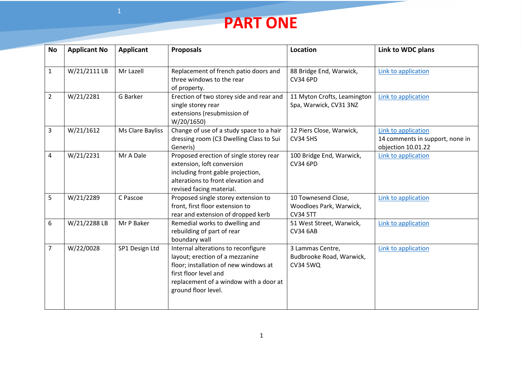

| <b>No</b>      | <b>Applicant No</b> | <b>Applicant</b> | <b>Proposals</b>                                                                                                                                                                                          | Location                                                          | Link to WDC plans                                                            |
|----------------|---------------------|------------------|-----------------------------------------------------------------------------------------------------------------------------------------------------------------------------------------------------------|-------------------------------------------------------------------|------------------------------------------------------------------------------|
| $\mathbf{1}$   | W/21/2111LB         | Mr Lazell        | Replacement of french patio doors and<br>three windows to the rear<br>of property.                                                                                                                        | 88 Bridge End, Warwick,<br><b>CV34 6PD</b>                        | Link to application                                                          |
| $\overline{2}$ | W/21/2281           | G Barker         | Erection of two storey side and rear and<br>single storey rear<br>extensions (resubmission of<br>W/20/1650)                                                                                               | 11 Myton Crofts, Leamington<br>Spa, Warwick, CV31 3NZ             | Link to application                                                          |
| 3              | W/21/1612           | Ms Clare Bayliss | Change of use of a study space to a hair<br>dressing room (C3 Dwelling Class to Sui<br>Generis)                                                                                                           | 12 Piers Close, Warwick,<br><b>CV34 5HS</b>                       | Link to application<br>14 comments in support, none in<br>objection 10.01.22 |
| 4              | W/21/2231           | Mr A Dale        | Proposed erection of single storey rear<br>extension, loft conversion<br>including front gable projection,<br>alterations to front elevation and<br>revised facing material.                              | 100 Bridge End, Warwick,<br><b>CV34 6PD</b>                       | Link to application                                                          |
| 5              | W/21/2289           | C Pascoe         | Proposed single storey extension to<br>front, first floor extension to<br>rear and extension of dropped kerb                                                                                              | 10 Townesend Close,<br>Woodloes Park, Warwick,<br><b>CV34 5TT</b> | <b>Link to application</b>                                                   |
| 6              | W/21/2288 LB        | Mr P Baker       | Remedial works to dwelling and<br>rebuilding of part of rear<br>boundary wall                                                                                                                             | 51 West Street, Warwick,<br><b>CV34 6AB</b>                       | Link to application                                                          |
| 7              | W/22/0028           | SP1 Design Ltd   | Internal alterations to reconfigure<br>layout; erection of a mezzanine<br>floor; installation of new windows at<br>first floor level and<br>replacement of a window with a door at<br>ground floor level. | 3 Lammas Centre,<br>Budbrooke Road, Warwick,<br><b>CV34 5WQ</b>   | Link to application                                                          |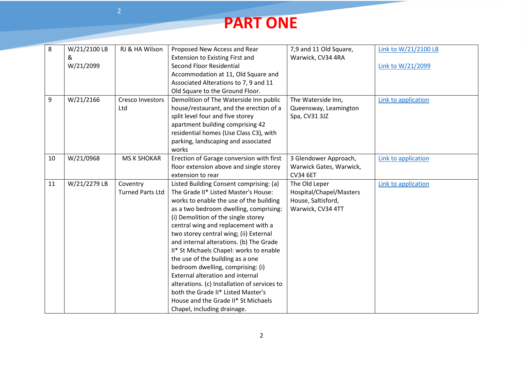## **PART ONE**

| 8  | W/21/2100 LB | RJ & HA Wilson          | Proposed New Access and Rear                 | 7,9 and 11 Old Square,  | Link to W/21/2100 LB |
|----|--------------|-------------------------|----------------------------------------------|-------------------------|----------------------|
|    | &            |                         | Extension to Existing First and              | Warwick, CV34 4RA       |                      |
|    | W/21/2099    |                         | Second Floor Residential                     |                         | Link to W/21/2099    |
|    |              |                         | Accommodation at 11, Old Square and          |                         |                      |
|    |              |                         | Associated Alterations to 7, 9 and 11        |                         |                      |
|    |              |                         | Old Square to the Ground Floor.              |                         |                      |
| 9  | W/21/2166    | Cresco Investors        | Demolition of The Waterside Inn public       | The Waterside Inn,      | Link to application  |
|    |              | Ltd                     | house/restaurant, and the erection of a      | Queensway, Leamington   |                      |
|    |              |                         | split level four and five storey             | Spa, CV31 3JZ           |                      |
|    |              |                         | apartment building comprising 42             |                         |                      |
|    |              |                         | residential homes (Use Class C3), with       |                         |                      |
|    |              |                         | parking, landscaping and associated          |                         |                      |
|    |              |                         | works                                        |                         |                      |
| 10 | W/21/0968    | <b>MS K SHOKAR</b>      | Erection of Garage conversion with first     | 3 Glendower Approach,   | Link to application  |
|    |              |                         | floor extension above and single storey      | Warwick Gates, Warwick, |                      |
|    |              |                         | extension to rear                            | <b>CV34 6ET</b>         |                      |
| 11 | W/21/2279 LB | Coventry                | Listed Building Consent comprising: (a)      | The Old Leper           | Link to application  |
|    |              | <b>Turned Parts Ltd</b> | The Grade II* Listed Master's House:         | Hospital/Chapel/Masters |                      |
|    |              |                         | works to enable the use of the building      | House, Saltisford,      |                      |
|    |              |                         | as a two bedroom dwelling, comprising:       | Warwick, CV34 4TT       |                      |
|    |              |                         | (i) Demolition of the single storey          |                         |                      |
|    |              |                         | central wing and replacement with a          |                         |                      |
|    |              |                         | two storey central wing; (ii) External       |                         |                      |
|    |              |                         | and internal alterations. (b) The Grade      |                         |                      |
|    |              |                         | II* St Michaels Chapel: works to enable      |                         |                      |
|    |              |                         | the use of the building as a one             |                         |                      |
|    |              |                         | bedroom dwelling, comprising: (i)            |                         |                      |
|    |              |                         | <b>External alteration and internal</b>      |                         |                      |
|    |              |                         | alterations. (c) Installation of services to |                         |                      |
|    |              |                         | both the Grade II* Listed Master's           |                         |                      |
|    |              |                         | House and the Grade II* St Michaels          |                         |                      |
|    |              |                         | Chapel, including drainage.                  |                         |                      |